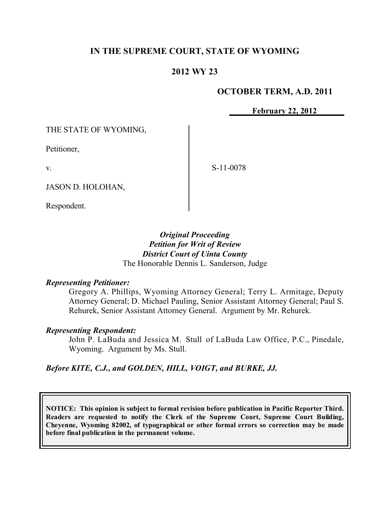# **IN THE SUPREME COURT, STATE OF WYOMING**

# **2012 WY 23**

### **OCTOBER TERM, A.D. 2011**

**February 22, 2012**

THE STATE OF WYOMING,

Petitioner,

v.

S-11-0078

JASON D. HOLOHAN,

Respondent.

*Original Proceeding Petition for Writ of Review District Court of Uinta County* The Honorable Dennis L. Sanderson, Judge

### *Representing Petitioner:*

Gregory A. Phillips, Wyoming Attorney General; Terry L. Armitage, Deputy Attorney General; D. Michael Pauling, Senior Assistant Attorney General; Paul S. Rehurek, Senior Assistant Attorney General. Argument by Mr. Rehurek.

### *Representing Respondent:*

John P. LaBuda and Jessica M. Stull of LaBuda Law Office, P.C., Pinedale, Wyoming. Argument by Ms. Stull.

*Before KITE, C.J., and GOLDEN, HILL, VOIGT, and BURKE, JJ.*

**NOTICE: This opinion is subject to formal revision before publication in Pacific Reporter Third. Readers are requested to notify the Clerk of the Supreme Court, Supreme Court Building, Cheyenne, Wyoming 82002, of typographical or other formal errors so correction may be made before final publication in the permanent volume.**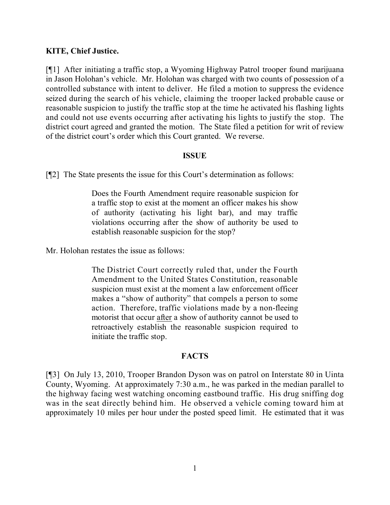## **KITE, Chief Justice.**

[¶1] After initiating a traffic stop, a Wyoming Highway Patrol trooper found marijuana in Jason Holohan's vehicle. Mr. Holohan was charged with two counts of possession of a controlled substance with intent to deliver. He filed a motion to suppress the evidence seized during the search of his vehicle, claiming the trooper lacked probable cause or reasonable suspicion to justify the traffic stop at the time he activated his flashing lights and could not use events occurring after activating his lights to justify the stop. The district court agreed and granted the motion. The State filed a petition for writ of review of the district court's order which this Court granted. We reverse.

### **ISSUE**

[¶2] The State presents the issue for this Court's determination as follows:

Does the Fourth Amendment require reasonable suspicion for a traffic stop to exist at the moment an officer makes his show of authority (activating his light bar), and may traffic violations occurring after the show of authority be used to establish reasonable suspicion for the stop?

Mr. Holohan restates the issue as follows:

The District Court correctly ruled that, under the Fourth Amendment to the United States Constitution, reasonable suspicion must exist at the moment a law enforcement officer makes a "show of authority" that compels a person to some action. Therefore, traffic violations made by a non-fleeing motorist that occur after a show of authority cannot be used to retroactively establish the reasonable suspicion required to initiate the traffic stop.

### **FACTS**

[¶3] On July 13, 2010, Trooper Brandon Dyson was on patrol on Interstate 80 in Uinta County, Wyoming. At approximately 7:30 a.m., he was parked in the median parallel to the highway facing west watching oncoming eastbound traffic. His drug sniffing dog was in the seat directly behind him. He observed a vehicle coming toward him at approximately 10 miles per hour under the posted speed limit. He estimated that it was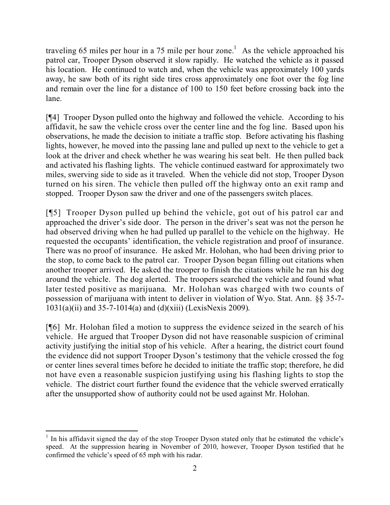traveling 65 miles per hour in a 75 mile per hour zone.<sup>1</sup> As the vehicle approached his patrol car, Trooper Dyson observed it slow rapidly. He watched the vehicle as it passed his location. He continued to watch and, when the vehicle was approximately 100 yards away, he saw both of its right side tires cross approximately one foot over the fog line and remain over the line for a distance of 100 to 150 feet before crossing back into the lane.

[¶4] Trooper Dyson pulled onto the highway and followed the vehicle. According to his affidavit, he saw the vehicle cross over the center line and the fog line. Based upon his observations, he made the decision to initiate a traffic stop. Before activating his flashing lights, however, he moved into the passing lane and pulled up next to the vehicle to get a look at the driver and check whether he was wearing his seat belt. He then pulled back and activated his flashing lights. The vehicle continued eastward for approximately two miles, swerving side to side as it traveled. When the vehicle did not stop, Trooper Dyson turned on his siren. The vehicle then pulled off the highway onto an exit ramp and stopped. Trooper Dyson saw the driver and one of the passengers switch places.

[¶5] Trooper Dyson pulled up behind the vehicle, got out of his patrol car and approached the driver's side door. The person in the driver's seat was not the person he had observed driving when he had pulled up parallel to the vehicle on the highway. He requested the occupants' identification, the vehicle registration and proof of insurance. There was no proof of insurance. He asked Mr. Holohan, who had been driving prior to the stop, to come back to the patrol car. Trooper Dyson began filling out citations when another trooper arrived. He asked the trooper to finish the citations while he ran his dog around the vehicle. The dog alerted. The troopers searched the vehicle and found what later tested positive as marijuana. Mr. Holohan was charged with two counts of possession of marijuana with intent to deliver in violation of Wyo. Stat. Ann. §§ 35-7- 1031(a)(ii) and 35-7-1014(a) and (d)(xiii) (LexisNexis 2009).

[¶6] Mr. Holohan filed a motion to suppress the evidence seized in the search of his vehicle. He argued that Trooper Dyson did not have reasonable suspicion of criminal activity justifying the initial stop of his vehicle. After a hearing, the district court found the evidence did not support Trooper Dyson's testimony that the vehicle crossed the fog or center lines several times before he decided to initiate the traffic stop; therefore, he did not have even a reasonable suspicion justifying using his flashing lights to stop the vehicle. The district court further found the evidence that the vehicle swerved erratically after the unsupported show of authority could not be used against Mr. Holohan.

 <sup>1</sup> In his affidavit signed the day of the stop Trooper Dyson stated only that he estimated the vehicle's speed. At the suppression hearing in November of 2010, however, Trooper Dyson testified that he confirmed the vehicle's speed of 65 mph with his radar.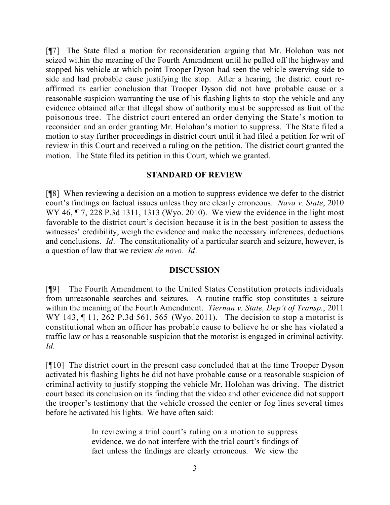[¶7] The State filed a motion for reconsideration arguing that Mr. Holohan was not seized within the meaning of the Fourth Amendment until he pulled off the highway and stopped his vehicle at which point Trooper Dyson had seen the vehicle swerving side to side and had probable cause justifying the stop. After a hearing, the district court reaffirmed its earlier conclusion that Trooper Dyson did not have probable cause or a reasonable suspicion warranting the use of his flashing lights to stop the vehicle and any evidence obtained after that illegal show of authority must be suppressed as fruit of the poisonous tree. The district court entered an order denying the State's motion to reconsider and an order granting Mr. Holohan's motion to suppress. The State filed a motion to stay further proceedings in district court until it had filed a petition for writ of review in this Court and received a ruling on the petition. The district court granted the motion. The State filed its petition in this Court, which we granted.

### **STANDARD OF REVIEW**

[¶8] When reviewing a decision on a motion to suppress evidence we defer to the district court's findings on factual issues unless they are clearly erroneous. *Nava v. State*, 2010 WY 46, ¶ 7, 228 P.3d 1311, 1313 (Wyo. 2010). We view the evidence in the light most favorable to the district court's decision because it is in the best position to assess the witnesses' credibility, weigh the evidence and make the necessary inferences, deductions and conclusions. *Id*. The constitutionality of a particular search and seizure, however, is a question of law that we review *de novo*. *Id*.

## **DISCUSSION**

[¶9] The Fourth Amendment to the United States Constitution protects individuals from unreasonable searches and seizures. A routine traffic stop constitutes a seizure within the meaning of the Fourth Amendment. *Tiernan v. State, Dep't of Transp.*, 2011 WY 143, 11, 262 P.3d 561, 565 (Wyo. 2011). The decision to stop a motorist is constitutional when an officer has probable cause to believe he or she has violated a traffic law or has a reasonable suspicion that the motorist is engaged in criminal activity. *Id.*

[¶10] The district court in the present case concluded that at the time Trooper Dyson activated his flashing lights he did not have probable cause or a reasonable suspicion of criminal activity to justify stopping the vehicle Mr. Holohan was driving. The district court based its conclusion on its finding that the video and other evidence did not support the trooper's testimony that the vehicle crossed the center or fog lines several times before he activated his lights. We have often said:

> In reviewing a trial court's ruling on a motion to suppress evidence, we do not interfere with the trial court's findings of fact unless the findings are clearly erroneous. We view the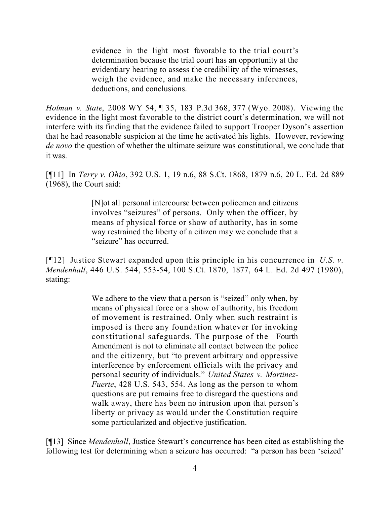evidence in the light most favorable to the trial court's determination because the trial court has an opportunity at the evidentiary hearing to assess the credibility of the witnesses, weigh the evidence, and make the necessary inferences, deductions, and conclusions.

*Holman v. State*, 2008 WY 54, ¶ 35, 183 P.3d 368, 377 (Wyo. 2008). Viewing the evidence in the light most favorable to the district court's determination, we will not interfere with its finding that the evidence failed to support Trooper Dyson's assertion that he had reasonable suspicion at the time he activated his lights. However, reviewing *de novo* the question of whether the ultimate seizure was constitutional, we conclude that it was.

[¶11] In *Terry v. Ohio*, 392 U.S. 1, 19 n.6, 88 S.Ct. 1868, 1879 n.6, 20 L. Ed. 2d 889 (1968), the Court said:

> [N]ot all personal intercourse between policemen and citizens involves "seizures" of persons. Only when the officer, by means of physical force or show of authority, has in some way restrained the liberty of a citizen may we conclude that a "seizure" has occurred.

[¶12] Justice Stewart expanded upon this principle in his concurrence in *U.S. v. Mendenhall*, 446 U.S. 544, 553-54, 100 S.Ct. 1870, 1877, 64 L. Ed. 2d 497 (1980), stating:

> We adhere to the view that a person is "seized" only when, by means of physical force or a show of authority, his freedom of movement is restrained. Only when such restraint is imposed is there any foundation whatever for invoking constitutional safeguards. The purpose of the Fourth Amendment is not to eliminate all contact between the police and the citizenry, but "to prevent arbitrary and oppressive interference by enforcement officials with the privacy and personal security of individuals." *United States v. Martinez-Fuerte*, 428 U.S. 543, 554. As long as the person to whom questions are put remains free to disregard the questions and walk away, there has been no intrusion upon that person's liberty or privacy as would under the Constitution require some particularized and objective justification.

[¶13] Since *Mendenhall*, Justice Stewart's concurrence has been cited as establishing the following test for determining when a seizure has occurred: "a person has been 'seized'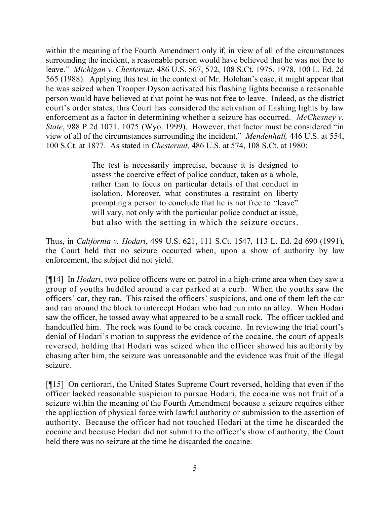within the meaning of the Fourth Amendment only if, in view of all of the circumstances surrounding the incident, a reasonable person would have believed that he was not free to leave." *Michigan v. Chesternut*, 486 U.S. 567, 572, 108 S.Ct. 1975, 1978, 100 L. Ed. 2d 565 (1988). Applying this test in the context of Mr. Holohan's case, it might appear that he was seized when Trooper Dyson activated his flashing lights because a reasonable person would have believed at that point he was not free to leave. Indeed, as the district court's order states, this Court has considered the activation of flashing lights by law enforcement as a factor in determining whether a seizure has occurred. *McChesney v. State*, 988 P.2d 1071, 1075 (Wyo. 1999). However, that factor must be considered "in view of all of the circumstances surrounding the incident." *Mendenhall,* 446 U.S. at 554, 100 S.Ct. at 1877. As stated in *Chesternut,* 486 U.S. at 574, 108 S.Ct. at 1980:

> The test is necessarily imprecise, because it is designed to assess the coercive effect of police conduct, taken as a whole, rather than to focus on particular details of that conduct in isolation. Moreover, what constitutes a restraint on liberty prompting a person to conclude that he is not free to "leave" will vary, not only with the particular police conduct at issue, but also with the setting in which the seizure occurs.

Thus, in *California v. Hodari*, 499 U.S. 621, 111 S.Ct. 1547, 113 L. Ed. 2d 690 (1991), the Court held that no seizure occurred when, upon a show of authority by law enforcement, the subject did not yield.

[¶14] In *Hodari*, two police officers were on patrol in a high-crime area when they saw a group of youths huddled around a car parked at a curb. When the youths saw the officers' car, they ran. This raised the officers' suspicions, and one of them left the car and ran around the block to intercept Hodari who had run into an alley. When Hodari saw the officer, he tossed away what appeared to be a small rock. The officer tackled and handcuffed him. The rock was found to be crack cocaine. In reviewing the trial court's denial of Hodari's motion to suppress the evidence of the cocaine, the court of appeals reversed, holding that Hodari was seized when the officer showed his authority by chasing after him, the seizure was unreasonable and the evidence was fruit of the illegal seizure.

[¶15] On certiorari, the United States Supreme Court reversed, holding that even if the officer lacked reasonable suspicion to pursue Hodari, the cocaine was not fruit of a seizure within the meaning of the Fourth Amendment because a seizure requires either the application of physical force with lawful authority or submission to the assertion of authority. Because the officer had not touched Hodari at the time he discarded the cocaine and because Hodari did not submit to the officer's show of authority, the Court held there was no seizure at the time he discarded the cocaine.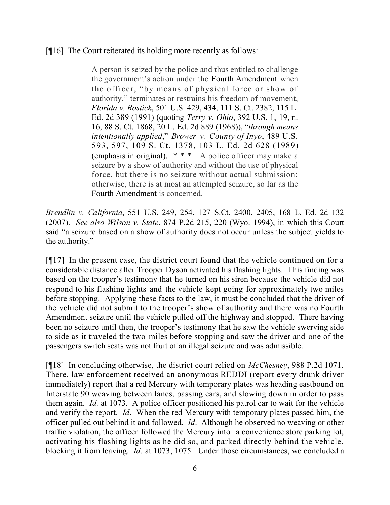[¶16] The Court reiterated its holding more recently as follows:

A person is seized by the police and thus entitled to challenge the government's action under the Fourth Amendment when the officer, "by means of physical force or show of authority," terminates or restrains his freedom of movement, *Florida v. Bostick*, 501 U.S. 429, 434, 111 S. Ct. 2382, 115 L. Ed. 2d 389 (1991) (quoting *Terry v. Ohio*, 392 U.S. 1, 19, n. 16, 88 S. Ct. 1868, 20 L. Ed. 2d 889 (1968)), "*through means intentionally applied*," *Brower v. County of Inyo*, 489 U.S. 593, 597, 109 S. Ct. 1378, 103 L. Ed. 2d 628 (1989) (emphasis in original). \* \* \* A police officer may make a seizure by a show of authority and without the use of physical force, but there is no seizure without actual submission; otherwise, there is at most an attempted seizure, so far as the Fourth Amendment is concerned.

*Brendlin v. California*, 551 U.S. 249, 254, 127 S.Ct. 2400, 2405, 168 L. Ed. 2d 132 (2007). *See also Wilson v. State*, 874 P.2d 215, 220 (Wyo. 1994), in which this Court said "a seizure based on a show of authority does not occur unless the subject yields to the authority."

[¶17] In the present case, the district court found that the vehicle continued on for a considerable distance after Trooper Dyson activated his flashing lights. This finding was based on the trooper's testimony that he turned on his siren because the vehicle did not respond to his flashing lights and the vehicle kept going for approximately two miles before stopping. Applying these facts to the law, it must be concluded that the driver of the vehicle did not submit to the trooper's show of authority and there was no Fourth Amendment seizure until the vehicle pulled off the highway and stopped. There having been no seizure until then, the trooper's testimony that he saw the vehicle swerving side to side as it traveled the two miles before stopping and saw the driver and one of the passengers switch seats was not fruit of an illegal seizure and was admissible.

[¶18] In concluding otherwise, the district court relied on *McChesney*, 988 P.2d 1071. There, law enforcement received an anonymous REDDI (report every drunk driver immediately) report that a red Mercury with temporary plates was heading eastbound on Interstate 90 weaving between lanes, passing cars, and slowing down in order to pass them again. *Id.* at 1073. A police officer positioned his patrol car to wait for the vehicle and verify the report. *Id*. When the red Mercury with temporary plates passed him, the officer pulled out behind it and followed. *Id*. Although he observed no weaving or other traffic violation, the officer followed the Mercury into a convenience store parking lot, activating his flashing lights as he did so, and parked directly behind the vehicle, blocking it from leaving. *Id.* at 1073, 1075. Under those circumstances, we concluded a